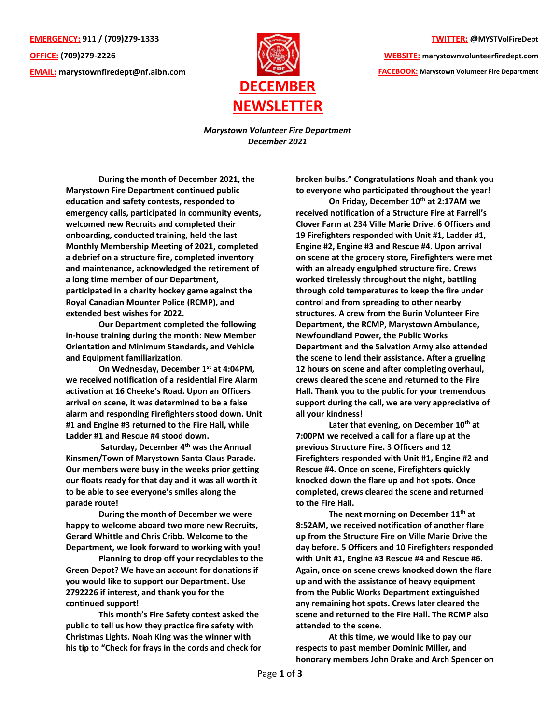**EMERGENCY: 911 / (709)279-1333 OFFICE: (709)279-2226 EMAIL: [marystownfiredept@nf.aibn.com](mailto:marystownfiredept@nf.aibn.com)**



**TWITTER: @MYSTVolFireDept**

**WEBSITE: marystownvolunteerfiredept.com FACEBOOK: Marystown Volunteer Fire Department**

*Marystown Volunteer Fire Department December 2021*

**During the month of December 2021, the Marystown Fire Department continued public education and safety contests, responded to emergency calls, participated in community events, welcomed new Recruits and completed their onboarding, conducted training, held the last Monthly Membership Meeting of 2021, completed a debrief on a structure fire, completed inventory and maintenance, acknowledged the retirement of a long time member of our Department, participated in a charity hockey game against the Royal Canadian Mounter Police (RCMP), and extended best wishes for 2022.**

**Our Department completed the following in-house training during the month: New Member Orientation and Minimum Standards, and Vehicle and Equipment familiarization.**

**On Wednesday, December 1st at 4:04PM, we received notification of a residential Fire Alarm activation at 16 Cheeke's Road. Upon an Officers arrival on scene, it was determined to be a false alarm and responding Firefighters stood down. Unit #1 and Engine #3 returned to the Fire Hall, while Ladder #1 and Rescue #4 stood down.** 

**Saturday, December 4th was the Annual Kinsmen/Town of Marystown Santa Claus Parade. Our members were busy in the weeks prior getting our floats ready for that day and it was all worth it to be able to see everyone's smiles along the parade route!**

**During the month of December we were happy to welcome aboard two more new Recruits, Gerard Whittle and Chris Cribb. Welcome to the Department, we look forward to working with you!**

**Planning to drop off your recyclables to the Green Depot? We have an account for donations if you would like to support our Department. Use 2792226 if interest, and thank you for the continued support!**

**This month's Fire Safety contest asked the public to tell us how they practice fire safety with Christmas Lights. Noah King was the winner with his tip to "Check for frays in the cords and check for**  **broken bulbs." Congratulations Noah and thank you to everyone who participated throughout the year!**

**On Friday, December 10th at 2:17AM we received notification of a Structure Fire at Farrell's Clover Farm at 234 Ville Marie Drive. 6 Officers and 19 Firefighters responded with Unit #1, Ladder #1, Engine #2, Engine #3 and Rescue #4. Upon arrival on scene at the grocery store, Firefighters were met with an already engulphed structure fire. Crews worked tirelessly throughout the night, battling through cold temperatures to keep the fire under control and from spreading to other nearby structures. A crew from the Burin Volunteer Fire Department, the RCMP, Marystown Ambulance, Newfoundland Power, the Public Works Department and the Salvation Army also attended the scene to lend their assistance. After a grueling 12 hours on scene and after completing overhaul, crews cleared the scene and returned to the Fire Hall. Thank you to the public for your tremendous support during the call, we are very appreciative of all your kindness!**

**Later that evening, on December 10th at 7:00PM we received a call for a flare up at the previous Structure Fire. 3 Officers and 12 Firefighters responded with Unit #1, Engine #2 and Rescue #4. Once on scene, Firefighters quickly knocked down the flare up and hot spots. Once completed, crews cleared the scene and returned to the Fire Hall.**

**The next morning on December 11th at 8:52AM, we received notification of another flare up from the Structure Fire on Ville Marie Drive the day before. 5 Officers and 10 Firefighters responded with Unit #1, Engine #3 Rescue #4 and Rescue #6. Again, once on scene crews knocked down the flare up and with the assistance of heavy equipment from the Public Works Department extinguished any remaining hot spots. Crews later cleared the scene and returned to the Fire Hall. The RCMP also attended to the scene.** 

**At this time, we would like to pay our respects to past member Dominic Miller, and honorary members John Drake and Arch Spencer on**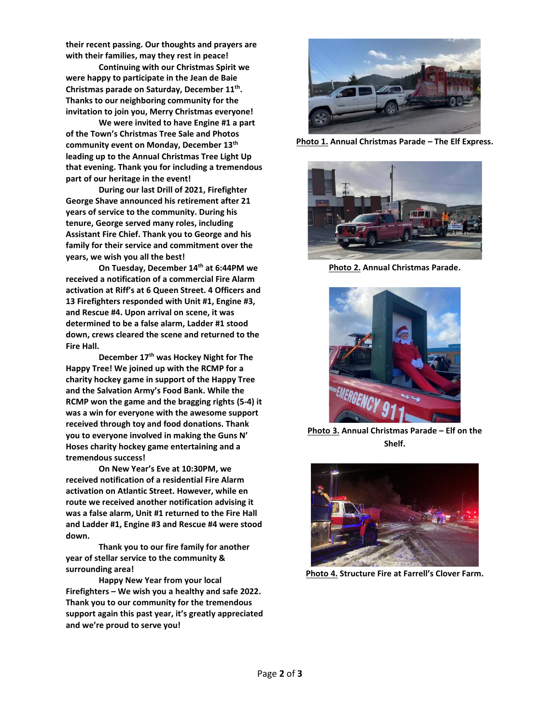**their recent passing. Our thoughts and prayers are with their families, may they rest in peace!**

**Continuing with our Christmas Spirit we were happy to participate in the Jean de Baie Christmas parade on Saturday, December 11th . Thanks to our neighboring community for the invitation to join you, Merry Christmas everyone!**

**We were invited to have Engine #1 a part of the Town's Christmas Tree Sale and Photos community event on Monday, December 13th leading up to the Annual Christmas Tree Light Up that evening. Thank you for including a tremendous part of our heritage in the event!**

**During our last Drill of 2021, Firefighter George Shave announced his retirement after 21 years of service to the community. During his tenure, George served many roles, including Assistant Fire Chief. Thank you to George and his family for their service and commitment over the years, we wish you all the best!**

**On Tuesday, December 14th at 6:44PM we received a notification of a commercial Fire Alarm activation at Riff's at 6 Queen Street. 4 Officers and 13 Firefighters responded with Unit #1, Engine #3, and Rescue #4. Upon arrival on scene, it was determined to be a false alarm, Ladder #1 stood down, crews cleared the scene and returned to the Fire Hall.** 

**December 17th was Hockey Night for The Happy Tree! We joined up with the RCMP for a charity hockey game in support of the Happy Tree and the Salvation Army's Food Bank. While the RCMP won the game and the bragging rights (5-4) it was a win for everyone with the awesome support received through toy and food donations. Thank you to everyone involved in making the Guns N' Hoses charity hockey game entertaining and a tremendous success!**

**On New Year's Eve at 10:30PM, we received notification of a residential Fire Alarm activation on Atlantic Street. However, while en route we received another notification advising it was a false alarm, Unit #1 returned to the Fire Hall and Ladder #1, Engine #3 and Rescue #4 were stood down.** 

**Thank you to our fire family for another year of stellar service to the community & surrounding area!**

**Happy New Year from your local Firefighters – We wish you a healthy and safe 2022. Thank you to our community for the tremendous support again this past year, it's greatly appreciated and we're proud to serve you!**



**Photo 1. Annual Christmas Parade – The Elf Express.**



**Photo 2. Annual Christmas Parade.**



**Photo 3. Annual Christmas Parade – Elf on the Shelf.**



**Photo 4. Structure Fire at Farrell's Clover Farm.**